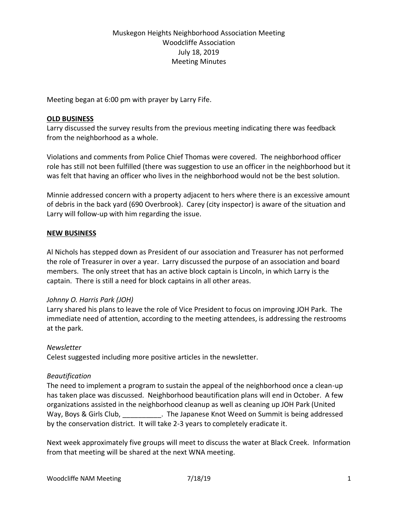# Muskegon Heights Neighborhood Association Meeting Woodcliffe Association July 18, 2019 Meeting Minutes

Meeting began at 6:00 pm with prayer by Larry Fife.

### **OLD BUSINESS**

Larry discussed the survey results from the previous meeting indicating there was feedback from the neighborhood as a whole.

Violations and comments from Police Chief Thomas were covered. The neighborhood officer role has still not been fulfilled (there was suggestion to use an officer in the neighborhood but it was felt that having an officer who lives in the neighborhood would not be the best solution.

Minnie addressed concern with a property adjacent to hers where there is an excessive amount of debris in the back yard (690 Overbrook). Carey (city inspector) is aware of the situation and Larry will follow-up with him regarding the issue.

## **NEW BUSINESS**

Al Nichols has stepped down as President of our association and Treasurer has not performed the role of Treasurer in over a year. Larry discussed the purpose of an association and board members. The only street that has an active block captain is Lincoln, in which Larry is the captain. There is still a need for block captains in all other areas.

## *Johnny O. Harris Park (JOH)*

Larry shared his plans to leave the role of Vice President to focus on improving JOH Park. The immediate need of attention, according to the meeting attendees, is addressing the restrooms at the park.

## *Newsletter*

Celest suggested including more positive articles in the newsletter.

## *Beautification*

The need to implement a program to sustain the appeal of the neighborhood once a clean-up has taken place was discussed. Neighborhood beautification plans will end in October. A few organizations assisted in the neighborhood cleanup as well as cleaning up JOH Park (United Way, Boys & Girls Club, \_\_\_\_\_\_\_\_\_\_\_. The Japanese Knot Weed on Summit is being addressed by the conservation district. It will take 2-3 years to completely eradicate it.

Next week approximately five groups will meet to discuss the water at Black Creek. Information from that meeting will be shared at the next WNA meeting.